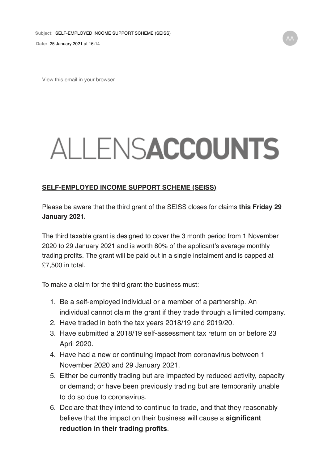**Date:** 25 January 2021 at 16:14

View this email in your browser

## ALLENSACCOUNTS

## **SELF-EMPLOYED INCOME SUPPORT SCHEME (SEISS)**

Please be aware that the third grant of the SEISS closes for claims **this Friday 29 January 2021.** 

The third taxable grant is designed to cover the 3 month period from 1 November 2020 to 29 January 2021 and is worth 80% of the applicant's average monthly trading profits. The grant will be paid out in a single instalment and is capped at £7,500 in total.

To make a claim for the third grant the business must:

- 1. Be a self-employed individual or a member of a partnership. An individual cannot claim the grant if they trade through a limited company.
- 2. Have traded in both the tax years 2018/19 and 2019/20.
- 3. Have submitted a 2018/19 self-assessment tax return on or before 23 April 2020.
- 4. Have had a new or continuing impact from coronavirus between 1 November 2020 and 29 January 2021.
- 5. Either be currently trading but are impacted by reduced activity, capacity or demand; or have been previously trading but are temporarily unable to do so due to coronavirus.
- 6. Declare that they intend to continue to trade, and that they reasonably believe that the impact on their business will cause a **significant reduction in their trading profits**.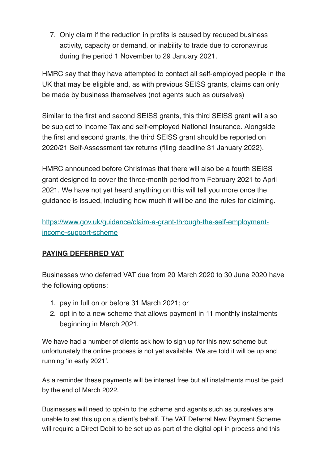7. Only claim if the reduction in profits is caused by reduced business activity, capacity or demand, or inability to trade due to coronavirus during the period 1 November to 29 January 2021.

HMRC say that they have attempted to contact all self-employed people in the UK that may be eligible and, as with previous SEISS grants, claims can only be made by business themselves (not agents such as ourselves)

Similar to the first and second SEISS grants, this third SEISS grant will also be subject to Income Tax and self-employed National Insurance. Alongside the first and second grants, the third SEISS grant should be reported on 2020/21 Self-Assessment tax returns (filing deadline 31 January 2022).

HMRC announced before Christmas that there will also be a fourth SEISS grant designed to cover the three-month period from February 2021 to April 2021. We have not yet heard anything on this will tell you more once the guidance is issued, including how much it will be and the rules for claiming.

https://www.gov.uk/guidance/claim-a-grant-through-the-self-employmentincome-support-scheme

## **PAYING DEFERRED VAT**

Businesses who deferred VAT due from 20 March 2020 to 30 June 2020 have the following options:

- 1. pay in full on or before 31 March 2021; or
- 2. opt in to a new scheme that allows payment in 11 monthly instalments beginning in March 2021.

We have had a number of clients ask how to sign up for this new scheme but unfortunately the online process is not yet available. We are told it will be up and running 'in early 2021'.

As a reminder these payments will be interest free but all instalments must be paid by the end of March 2022.

Businesses will need to opt-in to the scheme and agents such as ourselves are unable to set this up on a client's behalf. The VAT Deferral New Payment Scheme will require a Direct Debit to be set up as part of the digital opt-in process and this